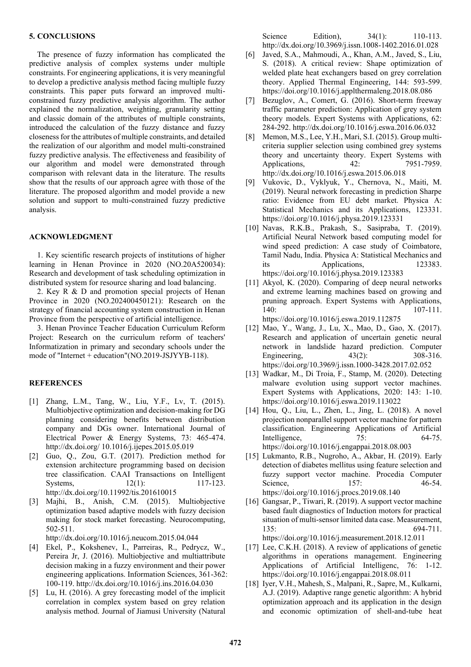## **5. CONCLUSIONS**

The presence of fuzzy information has complicated the predictive analysis of complex systems under multiple constraints. For engineering applications, it is very meaningful to develop a predictive analysis method facing multiple fuzzy constraints. This paper puts forward an improved multiconstrained fuzzy predictive analysis algorithm. The author explained the normalization, weighting, granularity setting and classic domain of the attributes of multiple constraints, introduced the calculation of the fuzzy distance and fuzzy closeness for the attributes of multiple constraints, and detailed the realization of our algorithm and model multi-constrained fuzzy predictive analysis. The effectiveness and feasibility of our algorithm and model were demonstrated through comparison with relevant data in the literature. The results show that the results of our approach agree with those of the literature. The proposed algorithm and model provide a new solution and support to multi-constrained fuzzy predictive analysis.

## **ACKNOWLEDGMENT**

1. Key scientific research projects of institutions of higher learning in Henan Province in 2020 (NO.20A520034): Research and development of task scheduling optimization in distributed system for resource sharing and load balancing.

2. Key R & D and promotion special projects of Henan Province in 2020 (NO.202400450121): Research on the strategy of financial accounting system construction in Henan Province from the perspective of artificial intelligence.

3. Henan Province Teacher Education Curriculum Reform Project: Research on the curriculum reform of teachers' Informatization in primary and secondary schools under the mode of "Internet + education"(NO.2019-JSJYYB-118).

## **REFERENCES**

- [1] Zhang, L.M., Tang, W., Liu, Y.F., Lv, T. (2015). Multiobjective optimization and decision-making for DG planning considering benefits between distribution company and DGs owner. International Journal of Electrical Power & Energy Systems, 73: 465-474. http://dx.doi.org/ 10.1016/j.ijepes.2015.05.019
- [2] Guo, Q., Zou, G.T. (2017). Prediction method for extension architecture programming based on decision tree classification. CAAI Transactions on Intelligent Systems, 12(1): 117-123. http://dx.doi.org/10.11992/tis.201610015
- [3] Majhi, B., Anish, C.M. (2015). Multiobjective optimization based adaptive models with fuzzy decision making for stock market forecasting. Neurocomputing, 502-511.

http://dx.doi.org/10.1016/j.neucom.2015.04.044

- [4] Ekel, P., Kokshenev, I., Parreiras, R., Pedrycz, W., Pereira Jr, J. (2016). Multiobjective and multiattribute decision making in a fuzzy environment and their power engineering applications. Information Sciences, 361-362: 100-119. http://dx.doi.org/10.1016/j.ins.2016.04.030
- [5] Lu, H. (2016). A grey forecasting model of the implicit correlation in complex system based on grey relation analysis method. Journal of Jiamusi University (Natural

Science Edition), 34(1): 110-113. http://dx.doi.org/10.3969/j.issn.1008-1402.2016.01.028

- [6] Javed, S.A., Mahmoudi, A., Khan, A.M., Javed, S., Liu, S. (2018). A critical review: Shape optimization of welded plate heat exchangers based on grey correlation theory. Applied Thermal Engineering, 144: 593-599. https://doi.org/10.1016/j.applthermaleng.2018.08.086
- [7] Bezuglov, A., Comert, G. (2016). Short-term freeway traffic parameter prediction: Application of grey system theory models. Expert Systems with Applications, 62: 284-292. http://dx.doi.org/10.1016/j.eswa.2016.06.032
- [8] Memon, M.S., Lee, Y.H., Mari, S.I. (2015). Group multicriteria supplier selection using combined grey systems theory and uncertainty theory. Expert Systems with Applications, 42: 7951-7959. http://dx.doi.org/10.1016/j.eswa.2015.06.018
- [9] Vukovic, D., Vyklyuk, Y., Chernova, N., Maiti, M. (2019). Neural network forecasting in prediction Sharpe ratio: Evidence from EU debt market. Physica A: Statistical Mechanics and its Applications, 123331. https://doi.org/10.1016/j.physa.2019.123331
- [10] Navas, R.K.B., Prakash, S., Sasipraba, T. (2019). Artificial Neural Network based computing model for wind speed prediction: A case study of Coimbatore, Tamil Nadu, India. Physica A: Statistical Mechanics and its Applications, 123383. https://doi.org/10.1016/j.physa.2019.123383
- [11] Akyol, K. (2020). Comparing of deep neural networks and extreme learning machines based on growing and pruning approach. Expert Systems with Applications, 140: 107-111. https://doi.org/10.1016/j.eswa.2019.112875
- [12] Mao, Y., Wang, J., Lu, X., Mao, D., Gao, X. (2017). Research and application of uncertain genetic neural network in landslide hazard prediction. Computer Engineering, 43(2): 308-316. https://doi.org/10.3969/j.issn.1000-3428.2017.02.052
- [13] Wadkar, M., Di Troia, F., Stamp, M. (2020). Detecting malware evolution using support vector machines. Expert Systems with Applications, 2020: 143: 1-10. https://doi.org/10.1016/j.eswa.2019.113022
- [14] Hou, Q., Liu, L., Zhen, L., Jing, L. (2018). A novel projection nonparallel support vector machine for pattern classification. Engineering Applications of Artificial Intelligence, 75: 64-75. https://doi.org/10.1016/j.engappai.2018.08.003
- [15] Lukmanto, R.B., Nugroho, A., Akbar, H. (2019). Early detection of diabetes mellitus using feature selection and fuzzy support vector machine. Procedia Computer Science, 157: 46-54. https://doi.org/10.1016/j.procs.2019.08.140
- [16] Gangsar, P., Tiwari, R. (2019). A support vector machine based fault diagnostics of Induction motors for practical situation of multi-sensor limited data case. Measurement, 135: 694-711. https://doi.org/10.1016/j.measurement.2018.12.011

- [17] Lee, C.K.H. (2018). A review of applications of genetic algorithms in operations management. Engineering Applications of Artificial Intelligenc, 76: 1-12. https://doi.org/10.1016/j.engappai.2018.08.011
- [18] Iyer, V.H., Mahesh, S., Malpani, R., Sapre, M., Kulkarni, A.J. (2019). Adaptive range genetic algorithm: A hybrid optimization approach and its application in the design and economic optimization of shell-and-tube heat